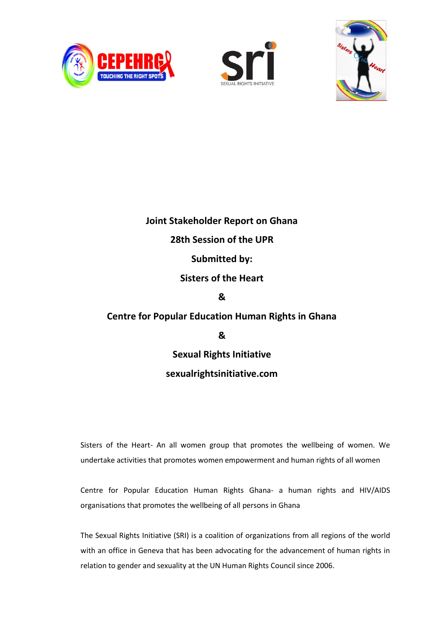





# **Joint Stakeholder Report on Ghana 28th Session of the UPR Submitted by: Sisters of the Heart & Centre for Popular Education Human Rights in Ghana &**

**Sexual Rights Initiative sexualrightsinitiative.com** 

Sisters of the Heart- An all women group that promotes the wellbeing of women. We undertake activities that promotes women empowerment and human rights of all women

Centre for Popular Education Human Rights Ghana- a human rights and HIV/AIDS organisations that promotes the wellbeing of all persons in Ghana

The Sexual Rights Initiative (SRI) is a coalition of organizations from all regions of the world with an office in Geneva that has been advocating for the advancement of human rights in relation to gender and sexuality at the UN Human Rights Council since 2006.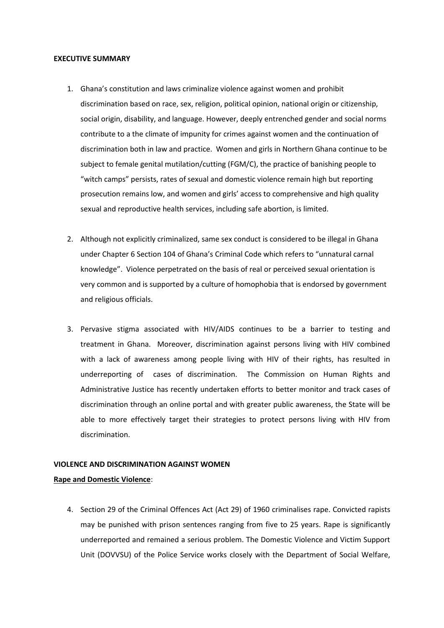#### **EXECUTIVE SUMMARY**

- 1. Ghana's constitution and laws criminalize violence against women and prohibit discrimination based on race, sex, religion, political opinion, national origin or citizenship, social origin, disability, and language. However, deeply entrenched gender and social norms contribute to a the climate of impunity for crimes against women and the continuation of discrimination both in law and practice. Women and girls in Northern Ghana continue to be subject to female genital mutilation/cutting (FGM/C), the practice of banishing people to "witch camps" persists, rates of sexual and domestic violence remain high but reporting prosecution remains low, and women and girls' access to comprehensive and high quality sexual and reproductive health services, including safe abortion, is limited.
- 2. Although not explicitly criminalized, same sex conduct is considered to be illegal in Ghana under Chapter 6 Section 104 of Ghana's Criminal Code which refers to "unnatural carnal knowledge". Violence perpetrated on the basis of real or perceived sexual orientation is very common and is supported by a culture of homophobia that is endorsed by government and religious officials.
- 3. Pervasive stigma associated with HIV/AIDS continues to be a barrier to testing and treatment in Ghana. Moreover, discrimination against persons living with HIV combined with a lack of awareness among people living with HIV of their rights, has resulted in underreporting of cases of discrimination. The Commission on Human Rights and Administrative Justice has recently undertaken efforts to better monitor and track cases of discrimination through an online portal and with greater public awareness, the State will be able to more effectively target their strategies to protect persons living with HIV from discrimination.

# **VIOLENCE AND DISCRIMINATION AGAINST WOMEN**

# **Rape and Domestic Violence**:

4. Section 29 of the Criminal Offences Act (Act 29) of 1960 criminalises rape. Convicted rapists may be punished with prison sentences ranging from five to 25 years. Rape is significantly underreported and remained a serious problem. The Domestic Violence and Victim Support Unit (DOVVSU) of the Police Service works closely with the Department of Social Welfare,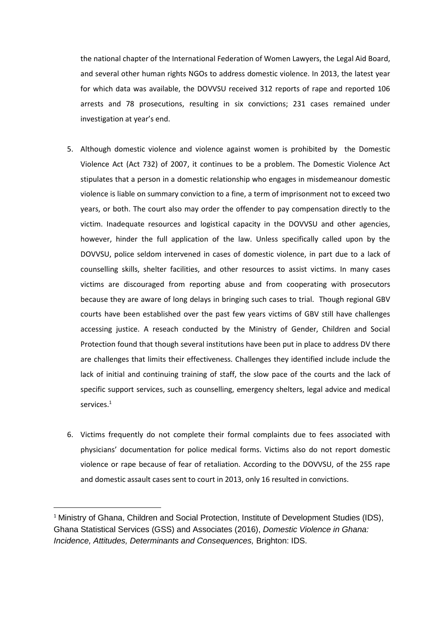the national chapter of the International Federation of Women Lawyers, the Legal Aid Board, and several other human rights NGOs to address domestic violence. In 2013, the latest year for which data was available, the DOVVSU received 312 reports of rape and reported 106 arrests and 78 prosecutions, resulting in six convictions; 231 cases remained under investigation at year's end.

- 5. Although domestic violence and violence against women is prohibited by the Domestic Violence Act (Act 732) of 2007, it continues to be a problem. The Domestic Violence Act stipulates that a person in a domestic relationship who engages in misdemeanour domestic violence is liable on summary conviction to a fine, a term of imprisonment not to exceed two years, or both. The court also may order the offender to pay compensation directly to the victim. Inadequate resources and logistical capacity in the DOVVSU and other agencies, however, hinder the full application of the law. Unless specifically called upon by the DOVVSU, police seldom intervened in cases of domestic violence, in part due to a lack of counselling skills, shelter facilities, and other resources to assist victims. In many cases victims are discouraged from reporting abuse and from cooperating with prosecutors because they are aware of long delays in bringing such cases to trial. Though regional GBV courts have been established over the past few years victims of GBV still have challenges accessing justice. A reseach conducted by the Ministry of Gender, Children and Social Protection found that though several institutions have been put in place to address DV there are challenges that limits their effectiveness. Challenges they identified include include the lack of initial and continuing training of staff, the slow pace of the courts and the lack of specific support services, such as counselling, emergency shelters, legal advice and medical services.<sup>1</sup>
- 6. Victims frequently do not complete their formal complaints due to fees associated with physicians' documentation for police medical forms. Victims also do not report domestic violence or rape because of fear of retaliation. According to the DOVVSU, of the 255 rape and domestic assault cases sent to court in 2013, only 16 resulted in convictions.

**.** 

<sup>&</sup>lt;sup>1</sup> Ministry of Ghana, Children and Social Protection, Institute of Development Studies (IDS), Ghana Statistical Services (GSS) and Associates (2016), *Domestic Violence in Ghana: Incidence, Attitudes, Determinants and Consequences,* Brighton: IDS.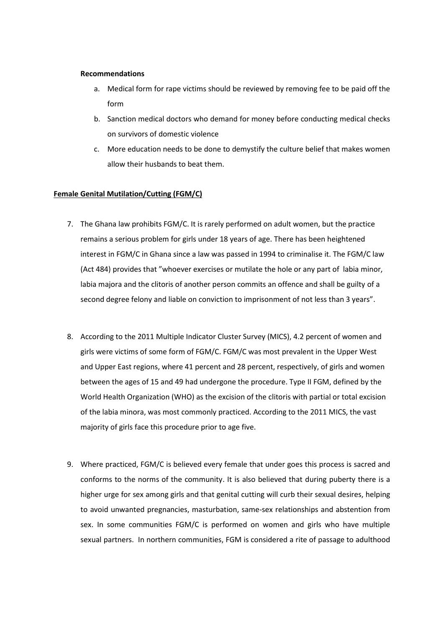# **Recommendations**

- a. Medical form for rape victims should be reviewed by removing fee to be paid off the form
- b. Sanction medical doctors who demand for money before conducting medical checks on survivors of domestic violence
- c. More education needs to be done to demystify the culture belief that makes women allow their husbands to beat them.

# **Female Genital Mutilation/Cutting (FGM/C)**

- 7. The Ghana law prohibits FGM/C. It is rarely performed on adult women, but the practice remains a serious problem for girls under 18 years of age. There has been heightened interest in FGM/C in Ghana since a law was passed in 1994 to criminalise it. The FGM/C law (Act 484) provides that "whoever exercises or mutilate the hole or any part of labia minor, labia majora and the clitoris of another person commits an offence and shall be guilty of a second degree felony and liable on conviction to imprisonment of not less than 3 years".
- 8. According to the 2011 Multiple Indicator Cluster Survey (MICS), 4.2 percent of women and girls were victims of some form of FGM/C. FGM/C was most prevalent in the Upper West and Upper East regions, where 41 percent and 28 percent, respectively, of girls and women between the ages of 15 and 49 had undergone the procedure. Type II FGM, defined by the World Health Organization (WHO) as the excision of the clitoris with partial or total excision of the labia minora, was most commonly practiced. According to the 2011 MICS, the vast majority of girls face this procedure prior to age five.
- 9. Where practiced, FGM/C is believed every female that under goes this process is sacred and conforms to the norms of the community. It is also believed that during puberty there is a higher urge for sex among girls and that genital cutting will curb their sexual desires, helping to avoid unwanted pregnancies, masturbation, same-sex relationships and abstention from sex. In some communities FGM/C is performed on women and girls who have multiple sexual partners. In northern communities, FGM is considered a rite of passage to adulthood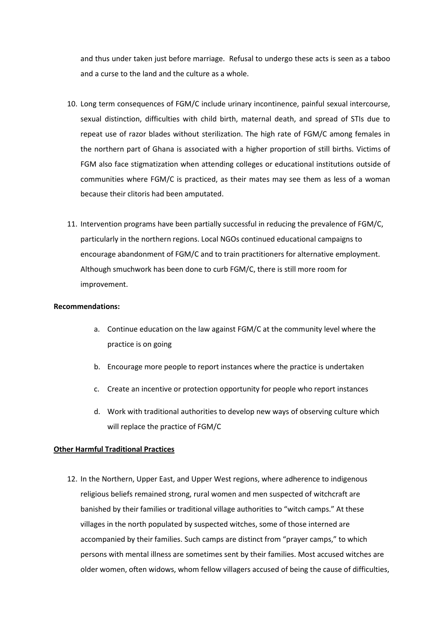and thus under taken just before marriage. Refusal to undergo these acts is seen as a taboo and a curse to the land and the culture as a whole.

- 10. Long term consequences of FGM/C include urinary incontinence, painful sexual intercourse, sexual distinction, difficulties with child birth, maternal death, and spread of STIs due to repeat use of razor blades without sterilization. The high rate of FGM/C among females in the northern part of Ghana is associated with a higher proportion of still births. Victims of FGM also face stigmatization when attending colleges or educational institutions outside of communities where FGM/C is practiced, as their mates may see them as less of a woman because their clitoris had been amputated.
- 11. Intervention programs have been partially successful in reducing the prevalence of FGM/C, particularly in the northern regions. Local NGOs continued educational campaigns to encourage abandonment of FGM/C and to train practitioners for alternative employment. Although smuchwork has been done to curb FGM/C, there is still more room for improvement.

# **Recommendations:**

- a. Continue education on the law against FGM/C at the community level where the practice is on going
- b. Encourage more people to report instances where the practice is undertaken
- c. Create an incentive or protection opportunity for people who report instances
- d. Work with traditional authorities to develop new ways of observing culture which will replace the practice of FGM/C

# **Other Harmful Traditional Practices**

12. In the Northern, Upper East, and Upper West regions, where adherence to indigenous religious beliefs remained strong, rural women and men suspected of witchcraft are banished by their families or traditional village authorities to "witch camps." At these villages in the north populated by suspected witches, some of those interned are accompanied by their families. Such camps are distinct from "prayer camps," to which persons with mental illness are sometimes sent by their families. Most accused witches are older women, often widows, whom fellow villagers accused of being the cause of difficulties,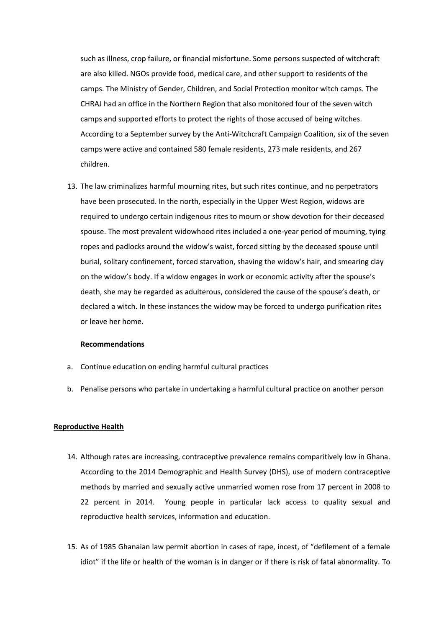such as illness, crop failure, or financial misfortune. Some persons suspected of witchcraft are also killed. NGOs provide food, medical care, and other support to residents of the camps. The Ministry of Gender, Children, and Social Protection monitor witch camps. The CHRAJ had an office in the Northern Region that also monitored four of the seven witch camps and supported efforts to protect the rights of those accused of being witches. According to a September survey by the Anti-Witchcraft Campaign Coalition, six of the seven camps were active and contained 580 female residents, 273 male residents, and 267 children.

13. The law criminalizes harmful mourning rites, but such rites continue, and no perpetrators have been prosecuted. In the north, especially in the Upper West Region, widows are required to undergo certain indigenous rites to mourn or show devotion for their deceased spouse. The most prevalent widowhood rites included a one-year period of mourning, tying ropes and padlocks around the widow's waist, forced sitting by the deceased spouse until burial, solitary confinement, forced starvation, shaving the widow's hair, and smearing clay on the widow's body. If a widow engages in work or economic activity after the spouse's death, she may be regarded as adulterous, considered the cause of the spouse's death, or declared a witch. In these instances the widow may be forced to undergo purification rites or leave her home.

## **Recommendations**

- a. Continue education on ending harmful cultural practices
- b. Penalise persons who partake in undertaking a harmful cultural practice on another person

#### **Reproductive Health**

- 14. Although rates are increasing, contraceptive prevalence remains comparitively low in Ghana. According to the 2014 Demographic and Health Survey (DHS), use of modern contraceptive methods by married and sexually active unmarried women rose from 17 percent in 2008 to 22 percent in 2014. Young people in particular lack access to quality sexual and reproductive health services, information and education.
- 15. As of 1985 Ghanaian law permit abortion in cases of rape, incest, of "defilement of a female idiot" if the life or health of the woman is in danger or if there is risk of fatal abnormality. To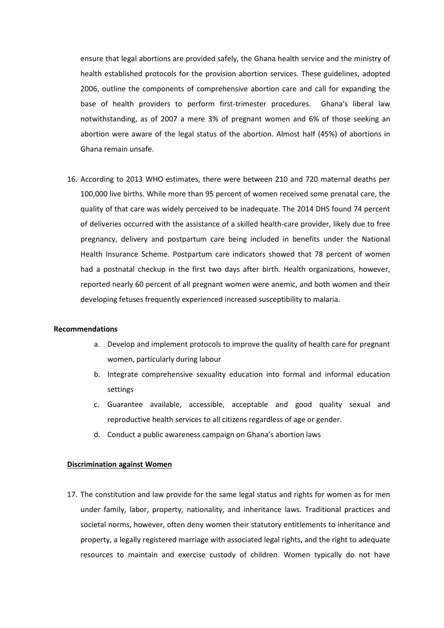ensure that legal abortions are provided safely, the Ghana health service and the ministry of health established protocols for the provision abortion services. These guidelines, adopted 2006, outline the components of comprehensive abortion care and call for expanding the base of health providers to perform first-trimester procedures. Ghana's liberal law notwithstanding, as of 2007 a mere 3% of pregnant women and 6% of those seeking an abortion were aware of the legal status of the abortion. Almost half (45%) of abortions in Ghana remain unsafe.

16. According to 2013 WHO estimates, there were between 210 and 720 maternal deaths per 100,000 live births. While more than 95 percent of women received some prenatal care, the quality of that care was widely perceived to be inadequate. The 2014 DHS found 74 percent of deliveries occurred with the assistance of a skilled health-care provider, likely due to free pregnancy, delivery and postpartum care being included in benefits under the National Health Insurance Scheme. Postpartum care indicators showed that 78 percent of women had a postnatal checkup in the first two days after birth. Health organizations, however, reported nearly 60 percent of all pregnant women were anemic, and both women and their developing fetuses frequently experienced increased susceptibility to malaria.

## **Recommendations**

- a. Develop and implement protocols to improve the quality of health care for pregnant women, particularly during labour
- b. Integrate comprehensive sexuality education into formal and informal education settings
- c. Guarantee available, accessible, acceptable and good quality sexual and reproductive health services to all citizens regardless of age or gender.
- d. Conduct a public awareness campaign on Ghana's abortion laws

#### **Discrimination against Women**

17. The constitution and law provide for the same legal status and rights for women as for men under family, labor, property, nationality, and inheritance laws. Traditional practices and societal norms, however, often deny women their statutory entitlements to inheritance and property, a legally registered marriage with associated legal rights, and the right to adequate resources to maintain and exercise custody of children. Women typically do not have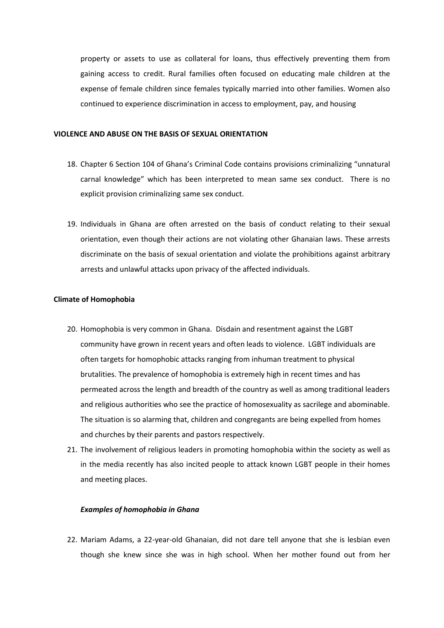property or assets to use as collateral for loans, thus effectively preventing them from gaining access to credit. Rural families often focused on educating male children at the expense of female children since females typically married into other families. Women also continued to experience discrimination in access to employment, pay, and housing

## **VIOLENCE AND ABUSE ON THE BASIS OF SEXUAL ORIENTATION**

- 18. Chapter 6 Section 104 of Ghana's Criminal Code contains provisions criminalizing "unnatural carnal knowledge" which has been interpreted to mean same sex conduct. There is no explicit provision criminalizing same sex conduct.
- 19. Individuals in Ghana are often arrested on the basis of conduct relating to their sexual orientation, even though their actions are not violating other Ghanaian laws. These arrests discriminate on the basis of sexual orientation and violate the prohibitions against arbitrary arrests and unlawful attacks upon privacy of the affected individuals.

## **Climate of Homophobia**

- 20. Homophobia is very common in Ghana. Disdain and resentment against the LGBT community have grown in recent years and often leads to violence. LGBT individuals are often targets for homophobic attacks ranging from inhuman treatment to physical brutalities. The prevalence of homophobia is extremely high in recent times and has permeated across the length and breadth of the country as well as among traditional leaders and religious authorities who see the practice of homosexuality as sacrilege and abominable. The situation is so alarming that, children and congregants are being expelled from homes and churches by their parents and pastors respectively.
- 21. The involvement of religious leaders in promoting homophobia within the society as well as in the media recently has also incited people to attack known LGBT people in their homes and meeting places.

# *Examples of homophobia in Ghana*

22. Mariam Adams, a 22-year-old Ghanaian, did not dare tell anyone that she is lesbian even though she knew since she was in high school. When her mother found out from her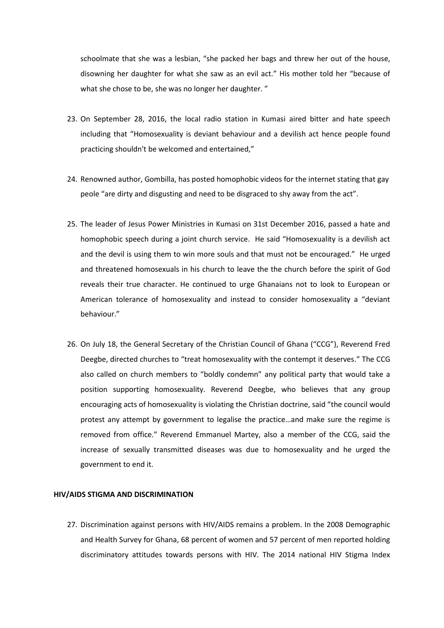schoolmate that she was a lesbian, "she packed her bags and threw her out of the house, disowning her daughter for what she saw as an evil act." His mother told her "because of what she chose to be, she was no longer her daughter. "

- 23. On September 28, 2016, the local radio station in Kumasi aired bitter and hate speech including that "Homosexuality is deviant behaviour and a devilish act hence people found practicing shouldn't be welcomed and entertained,"
- 24. Renowned author, Gombilla, has posted homophobic videos for the internet stating that gay peole "are dirty and disgusting and need to be disgraced to shy away from the act".
- 25. The leader of Jesus Power Ministries in Kumasi on 31st December 2016, passed a hate and homophobic speech during a joint church service. He said "Homosexuality is a devilish act and the devil is using them to win more souls and that must not be encouraged." He urged and threatened homosexuals in his church to leave the the church before the spirit of God reveals their true character. He continued to urge Ghanaians not to look to European or American tolerance of homosexuality and instead to consider homosexuality a "deviant behaviour."
- 26. On July 18, the General Secretary of the Christian Council of Ghana ("CCG"), Reverend Fred Deegbe, directed churches to "treat homosexuality with the contempt it deserves." The CCG also called on church members to "boldly condemn" any political party that would take a position supporting homosexuality. Reverend Deegbe, who believes that any group encouraging acts of homosexuality is violating the Christian doctrine, said "the council would protest any attempt by government to legalise the practice…and make sure the regime is removed from office." Reverend Emmanuel Martey, also a member of the CCG, said the increase of sexually transmitted diseases was due to homosexuality and he urged the government to end it.

# **HIV/AIDS STIGMA AND DISCRIMINATION**

27. Discrimination against persons with HIV/AIDS remains a problem. In the 2008 Demographic and Health Survey for Ghana, 68 percent of women and 57 percent of men reported holding discriminatory attitudes towards persons with HIV. The 2014 national HIV Stigma Index